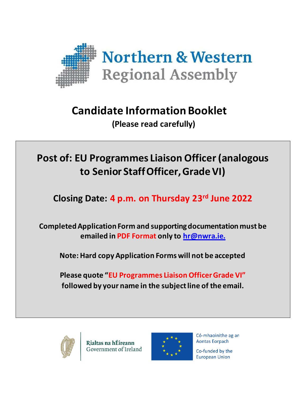

# **Candidate Information Booklet**

**(Please read carefully)**

# **Post of: EU Programmes Liaison Officer (analogous to Senior Staff Officer, Grade VI)**

**Closing Date: 4 p.m. on Thursday 23 rd June 2022**

**Completed Application Form and supporting documentation must be emailed in PDF Format only to [hr@nwra.ie.](mailto:hr@nwra.ie)**

**Note: Hard copy Application Forms will not be accepted**

**Please quote "EU Programmes Liaison Officer Grade VI" followed by your name in the subject line of the email.**



Rialtas na hÉireann Government of Ireland



Có-mhaoinithe ag an **Aontas Eorpach** 

Co-funded by the **European Union**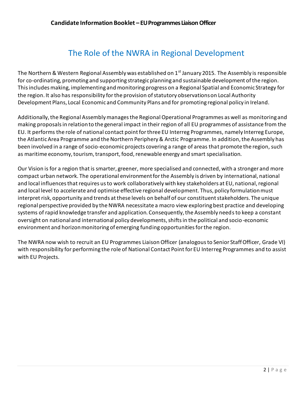# The Role of the NWRA in Regional Development

The Northern & Western Regional Assembly was established on  $1<sup>st</sup>$  January 2015. The Assembly is responsible for co-ordinating, promoting and supporting strategic planning and sustainable development of the region. This includes making, implementing and monitoring progress on a Regional Spatial and Economic Strategy for the region. It also has responsibility for the provision of statutory observations on Local Authority Development Plans, Local Economic and Community Plans and for promoting regional policy in Ireland.

Additionally, the Regional Assembly manages the Regional Operational Programmes as well as monitoring and making proposals in relation to the general impact in their region of all EU programmes of assistance from the EU. It performs the role of national contact point for three EU Interreg Programmes, namely Interreg Europe, the Atlantic Area Programme and the Northern Periphery & Arctic Programme. In addition, the Assembly has been involved in a range of socio-economic projects covering a range of areas that promote the region, such as maritime economy, tourism, transport, food, renewable energy and smart specialisation.

Our Vision is for a region that is smarter, greener, more specialised and connected, with a stronger and more compact urban network. The operational environment for the Assembly is driven by international, national and local influences that requires us to work collaboratively with key stakeholders at EU, national, regional and local level to accelerate and optimise effective regional development. Thus, policy formulation must interpret risk, opportunity and trends at these levels on behalf of our constituent stakeholders. The unique regional perspective provided by the NWRA necessitate a macro view exploring best practice and developing systems of rapid knowledge transfer and application. Consequently, the Assembly needsto keep a constant oversight on national and international policy developments, shifts in the political and socio-economic environment and horizon monitoring of emerging funding opportunities for the region.

The NWRA now wish to recruit an EU Programmes Liaison Officer (analogous to Senior Staff Officer, Grade VI) with responsibility for performing the role of National Contact Point for EU Interreg Programmes and to assist with EU Projects.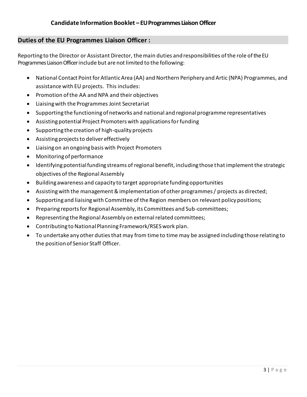## **Duties of the EU Programmes Liaison Officer :**

Reporting to the Director or Assistant Director, themain duties andresponsibilities ofthe role ofthe EU Programmes Liaison Officer include but are not limited to the following:

- National Contact Point for Atlantic Area (AA) and Northern Periphery and Artic (NPA) Programmes, and assistance with EU projects. This includes:
- Promotion of the AA and NPA and their objectives
- Liaising with the Programmes Joint Secretariat
- Supporting the functioning of networks and national and regional programme representatives
- Assisting potential Project Promoters with applications for funding
- Supporting the creation of high-quality projects
- Assisting projects to deliver effectively
- Liaising on an ongoing basis with Project Promoters
- Monitoring of performance
- Identifying potential funding streams of regional benefit, including those that implement the strategic objectives of the Regional Assembly
- Building awareness and capacity to target appropriate funding opportunities
- Assisting with the management & implementation of other programmes / projects as directed;
- Supporting and liaising with Committee of the Region members on relevant policy positions;
- Preparing reports for Regional Assembly, its Committees and Sub-committees;
- Representing the Regional Assembly on external related committees;
- Contributing to National Planning Framework/RSES work plan.
- To undertake any other duties that may from time to time may be assigned including those relating to the position of Senior Staff Officer.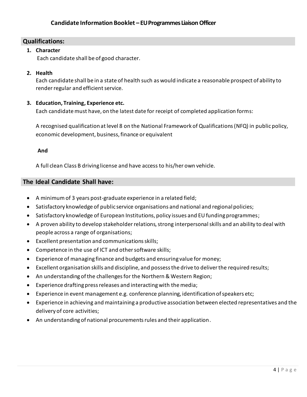# **Qualifications:**

#### **1. Character**

Each candidate shall be of good character.

#### **2. Health**

Each candidate shall be in a state of health such as would indicate a reasonable prospect of ability to render regular and efficient service.

#### **3. Education, Training, Experience etc.**

Each candidate must have, on the latest date for receipt of completed application forms:

A recognised qualification at level 8 on the National Framework of Qualifications (NFQ) in public policy, economic development, business, finance or equivalent

#### **And**

A full clean Class B driving license and have access to his/her own vehicle.

## **The Ideal Candidate Shall have:**

- A minimum of 3 years post-graduate experience in a related field;
- Satisfactory knowledge of public service organisations and national and regional policies;
- Satisfactory knowledge of European Institutions, policy issues and EU funding programmes;
- A proven ability to develop stakeholder relations, strong interpersonal skills and an ability to deal with people across a range of organisations;
- Excellent presentation and communications skills;
- Competence in the use of ICT and other software skills;
- Experience of managing finance and budgets and ensuring value for money;
- Excellent organisation skills and discipline, and possess the drive to deliver the required results;
- An understanding of the challenges for the Northern & Western Region;
- Experience drafting press releases and interacting with the media;
- Experience in event management e.g. conference planning, identification of speakers etc;
- Experience in achieving and maintaining a productive association between elected representatives and the delivery of core activities;
- An understanding of national procurements rules and their application.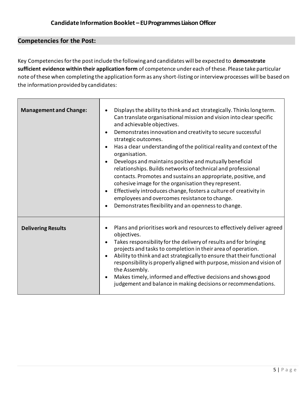# **Competencies for the Post:**

Key Competencies for the post include the following and candidates will be expected to **demonstrate sufficient evidence within their application form** of competence under each of these. Please take particular note ofthese when completing the application form as any short-listing or interview processes will be based on the information provided by candidates:

| <b>Management and Change:</b> | Displays the ability to think and act strategically. Thinks long term.<br>Can translate organisational mission and vision into clear specific<br>and achievable objectives.<br>Demonstrates innovation and creativity to secure successful<br>strategic outcomes.<br>Has a clear understanding of the political reality and context of the<br>organisation.<br>Develops and maintains positive and mutually beneficial<br>relationships. Builds networks of technical and professional<br>contacts. Promotes and sustains an appropriate, positive, and<br>cohesive image for the organisation they represent.<br>Effectively introduces change, fosters a culture of creativity in<br>$\bullet$<br>employees and overcomes resistance to change.<br>Demonstrates flexibility and an openness to change. |
|-------------------------------|----------------------------------------------------------------------------------------------------------------------------------------------------------------------------------------------------------------------------------------------------------------------------------------------------------------------------------------------------------------------------------------------------------------------------------------------------------------------------------------------------------------------------------------------------------------------------------------------------------------------------------------------------------------------------------------------------------------------------------------------------------------------------------------------------------|
| <b>Delivering Results</b>     | Plans and prioritises work and resources to effectively deliver agreed<br>objectives.<br>Takes responsibility for the delivery of results and for bringing<br>projects and tasks to completion in their area of operation.<br>Ability to think and act strategically to ensure that their functional<br>responsibility is properly aligned with purpose, mission and vision of<br>the Assembly.<br>Makes timely, informed and effective decisions and shows good<br>judgement and balance in making decisions or recommendations.                                                                                                                                                                                                                                                                        |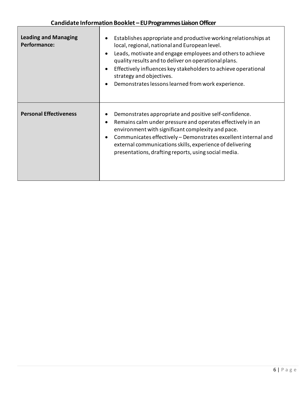$\sqrt{ }$ 

| <b>Leading and Managing</b><br><b>Performance:</b> | Establishes appropriate and productive working relationships at<br>local, regional, national and European level.<br>Leads, motivate and engage employees and others to achieve<br>$\bullet$<br>quality results and to deliver on operational plans.<br>Effectively influences key stakeholders to achieve operational<br>strategy and objectives.<br>Demonstrates lessons learned from work experience. |
|----------------------------------------------------|---------------------------------------------------------------------------------------------------------------------------------------------------------------------------------------------------------------------------------------------------------------------------------------------------------------------------------------------------------------------------------------------------------|
| <b>Personal Effectiveness</b>                      | Demonstrates appropriate and positive self-confidence.<br>Remains calm under pressure and operates effectively in an<br>environment with significant complexity and pace.<br>Communicates effectively - Demonstrates excellent internal and<br>$\bullet$<br>external communications skills, experience of delivering<br>presentations, drafting reports, using social media.                            |

┑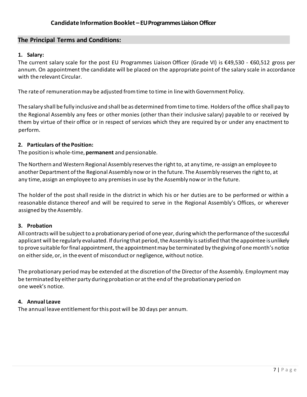## **The Principal Terms and Conditions:**

#### **1. Salary:**

The current salary scale for the post EU Programmes Liaison Officer (Grade VI) is €49,530 - €60,512 gross per annum. On appointment the candidate will be placed on the appropriate point of the salary scale in accordance with the relevant Circular.

The rate of remuneration may be adjusted from time to time in line with Government Policy.

The salary shall be fully inclusive and shall be as determined from time to time. Holders of the office shall pay to the Regional Assembly any fees or other monies (other than their inclusive salary) payable to or received by them by virtue of their office or in respect of services which they are required by or under any enactment to perform.

#### **2. Particulars of the Position:**

The position is whole-time, **permanent** and pensionable.

The Northern and Western Regional Assembly reserves the right to, at any time, re-assign an employee to another Department of the Regional Assembly now or in the future. The Assembly reserves the right to, at any time, assign an employee to any premises in use by the Assembly now or in the future.

The holder of the post shall reside in the district in which his or her duties are to be performed or within a reasonable distance thereof and will be required to serve in the Regional Assembly's Offices, or wherever assigned by the Assembly.

#### **3. Probation**

All contracts will be subject to a probationary period of one year, duringwhich the performance ofthe successful applicant will be regularly evaluated. If during that period, the Assembly is satisfied that the appointee is unlikely to prove suitable for final appointment, the appointment may be terminated by the giving of one month's notice on either side, or, in the event of misconduct or negligence, without notice.

The probationary period may be extended at the discretion of the Director of the Assembly. Employment may be terminated by either party during probation or at the end of the probationary period on one week's notice.

#### **4. Annual Leave**

The annual leave entitlement for this post will be 30 days per annum.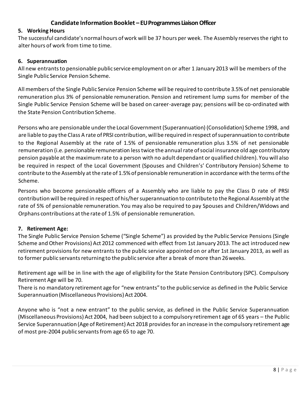# **Candidate Information Booklet – EU Programmes LiaisonOfficer**

# **GradeVI 5. Working Hours**

The successful candidate's normal hours of work will be 37 hours per week. The Assembly reserves the right to alter hours of work from time to time.

#### **6. Superannuation**

All new entrants to pensionable public service employment on or after 1 January 2013 will be members of the Single Public Service Pension Scheme.

All members of the Single Public Service Pension Scheme will be required to contribute 3.5%of net pensionable remuneration plus 3% of pensionable remuneration. Pension and retirement lump sums for member of the Single Public Service Pension Scheme will be based on career-average pay; pensions will be co-ordinated with the State Pension Contribution Scheme.

Persons who are pensionable underthe Local Government (Superannuation) (Consolidation) Scheme 1998, and are liable to pay the Class A rate of PRSI contribution, will be required in respect of superannuation to contribute to the Regional Assembly at the rate of 1.5% of pensionable remuneration plus 3.5% of net pensionable remuneration (i.e. pensionable remuneration lesstwice the annual rate ofsocial insurance old age contributory pension payable at the maximum rate to a person with no adult dependant or qualified children). You will also be required in respect of the Local Government (Spouses and Children's' Contributory Pension) Scheme to contribute to the Assembly atthe rate of 1.5%of pensionable remuneration in accordance with the terms ofthe Scheme.

Persons who become pensionable officers of a Assembly who are liable to pay the Class D rate of PRSI contribution will be required in respect of his/her superannuation to contribute to the Regional Assembly at the rate of 5% of pensionable remuneration. You may also be required to pay Spouses and Children/Widows and Orphans contributions at the rate of 1.5% of pensionable remuneration.

#### **7. Retirement Age:**

The Single Public Service Pension Scheme ("Single Scheme") as provided by the Public Service Pensions (Single Scheme and Other Provisions) Act 2012 commenced with effect from 1st January 2013. The act introduced new retirement provisions for new entrants to the public service appointed on or after 1st January 2013, as well as to former public servants returning to the public service after a break of more than 26weeks.

Retirement age will be in line with the age of eligibility for the State Pension Contributory (SPC). Compulsory Retirement Age will be 70.

There is no mandatory retirement age for "new entrants" to the public service as defined in the Public Service Superannuation (Miscellaneous Provisions) Act 2004.

Anyone who is "not a new entrant" to the public service, as defined in the Public Service Superannuation (Miscellaneous Provisions) Act 2004, had been subject to a compulsory retirement age of 65 years – the Public Service Superannuation (Age of Retirement) Act 2018 providesfor an increase in the compulsory retirement age of most pre-2004 public servants from age 65 to age 70.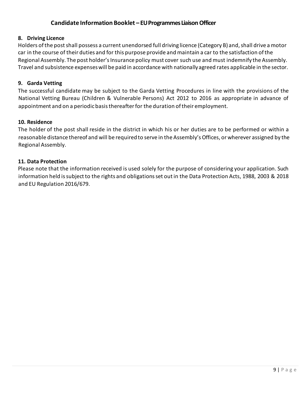# **Candidate Information Booklet – EU Programmes LiaisonOfficer**

#### **8. Driving Licence**

Holders ofthe postshall possess a current unendorsed full driving licence (Category B) and,shall drive a motor car in the course of their duties and for this purpose provide and maintain a car to the satisfaction of the Regional Assembly. The post holder's Insurance policy must cover such use and must indemnify the Assembly. Travel and subsistence expenseswill be paid in accordance with nationallyagreed rates applicable in the sector.

#### **9. Garda Vetting**

The successful candidate may be subject to the Garda Vetting Procedures in line with the provisions of the National Vetting Bureau (Children & Vulnerable Persons) Act 2012 to 2016 as appropriate in advance of appointment and on a periodic basis thereafter for the duration of their employment.

#### **10. Residence**

The holder of the post shall reside in the district in which his or her duties are to be performed or within a reasonable distance thereof and will be required to serve in the Assembly'sOffices, or wherever assigned by the Regional Assembly.

#### **11. Data Protection**

Please note that the information received is used solely for the purpose of considering your application. Such information held is subject to the rights and obligations set out in the Data Protection Acts, 1988, 2003 & 2018 and EU Regulation 2016/679.